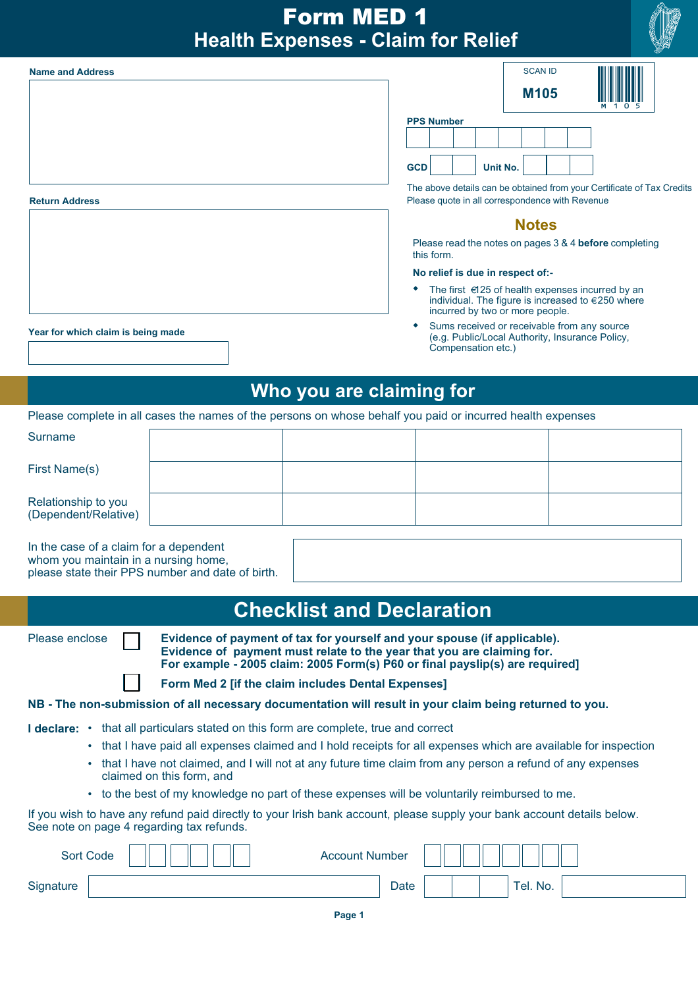

|                                                                                                                                    |  | <b>Health Expenses - Claim for Relief</b>                                                                                                                                                                                          |                                                        |                                                                                           |  |                                                 |  |                                                                        |  |  |  |
|------------------------------------------------------------------------------------------------------------------------------------|--|------------------------------------------------------------------------------------------------------------------------------------------------------------------------------------------------------------------------------------|--------------------------------------------------------|-------------------------------------------------------------------------------------------|--|-------------------------------------------------|--|------------------------------------------------------------------------|--|--|--|
| <b>Name and Address</b>                                                                                                            |  |                                                                                                                                                                                                                                    |                                                        |                                                                                           |  | <b>SCAN ID</b>                                  |  |                                                                        |  |  |  |
|                                                                                                                                    |  |                                                                                                                                                                                                                                    |                                                        |                                                                                           |  | M105                                            |  |                                                                        |  |  |  |
|                                                                                                                                    |  |                                                                                                                                                                                                                                    |                                                        | <b>PPS Number</b>                                                                         |  |                                                 |  |                                                                        |  |  |  |
|                                                                                                                                    |  |                                                                                                                                                                                                                                    |                                                        |                                                                                           |  |                                                 |  |                                                                        |  |  |  |
|                                                                                                                                    |  |                                                                                                                                                                                                                                    | <b>GCD</b>                                             |                                                                                           |  | Unit No.                                        |  |                                                                        |  |  |  |
| <b>Return Address</b>                                                                                                              |  |                                                                                                                                                                                                                                    |                                                        |                                                                                           |  | Please quote in all correspondence with Revenue |  | The above details can be obtained from your Certificate of Tax Credits |  |  |  |
|                                                                                                                                    |  | <b>Notes</b>                                                                                                                                                                                                                       |                                                        |                                                                                           |  |                                                 |  |                                                                        |  |  |  |
|                                                                                                                                    |  |                                                                                                                                                                                                                                    | Please read the notes on pages 3 & 4 before completing |                                                                                           |  |                                                 |  |                                                                        |  |  |  |
|                                                                                                                                    |  |                                                                                                                                                                                                                                    |                                                        | this form.                                                                                |  |                                                 |  |                                                                        |  |  |  |
|                                                                                                                                    |  |                                                                                                                                                                                                                                    |                                                        | No relief is due in respect of:-<br>The first $\in$ 125 of health expenses incurred by an |  |                                                 |  |                                                                        |  |  |  |
|                                                                                                                                    |  |                                                                                                                                                                                                                                    |                                                        |                                                                                           |  | incurred by two or more people.                 |  | individual. The figure is increased to $\epsilon$ 250 where            |  |  |  |
| Year for which claim is being made                                                                                                 |  |                                                                                                                                                                                                                                    | ٠                                                      |                                                                                           |  | Sums received or receivable from any source     |  |                                                                        |  |  |  |
|                                                                                                                                    |  |                                                                                                                                                                                                                                    |                                                        | (e.g. Public/Local Authority, Insurance Policy,<br>Compensation etc.)                     |  |                                                 |  |                                                                        |  |  |  |
|                                                                                                                                    |  |                                                                                                                                                                                                                                    |                                                        |                                                                                           |  |                                                 |  |                                                                        |  |  |  |
|                                                                                                                                    |  | Who you are claiming for                                                                                                                                                                                                           |                                                        |                                                                                           |  |                                                 |  |                                                                        |  |  |  |
| Please complete in all cases the names of the persons on whose behalf you paid or incurred health expenses                         |  |                                                                                                                                                                                                                                    |                                                        |                                                                                           |  |                                                 |  |                                                                        |  |  |  |
| Surname                                                                                                                            |  |                                                                                                                                                                                                                                    |                                                        |                                                                                           |  |                                                 |  |                                                                        |  |  |  |
|                                                                                                                                    |  |                                                                                                                                                                                                                                    |                                                        |                                                                                           |  |                                                 |  |                                                                        |  |  |  |
| First Name(s)                                                                                                                      |  |                                                                                                                                                                                                                                    |                                                        |                                                                                           |  |                                                 |  |                                                                        |  |  |  |
| Relationship to you                                                                                                                |  |                                                                                                                                                                                                                                    |                                                        |                                                                                           |  |                                                 |  |                                                                        |  |  |  |
| (Dependent/Relative)                                                                                                               |  |                                                                                                                                                                                                                                    |                                                        |                                                                                           |  |                                                 |  |                                                                        |  |  |  |
| In the case of a claim for a dependent<br>whom you maintain in a nursing home,<br>please state their PPS number and date of birth. |  |                                                                                                                                                                                                                                    |                                                        |                                                                                           |  |                                                 |  |                                                                        |  |  |  |
|                                                                                                                                    |  | <b>Checklist and Declaration</b>                                                                                                                                                                                                   |                                                        |                                                                                           |  |                                                 |  |                                                                        |  |  |  |
| Please enclose                                                                                                                     |  | Evidence of payment of tax for yourself and your spouse (if applicable).<br>Evidence of payment must relate to the year that you are claiming for.<br>For example - 2005 claim: 2005 Form(s) P60 or final payslip(s) are required] |                                                        |                                                                                           |  |                                                 |  |                                                                        |  |  |  |
|                                                                                                                                    |  | Form Med 2 [if the claim includes Dental Expenses]                                                                                                                                                                                 |                                                        |                                                                                           |  |                                                 |  |                                                                        |  |  |  |
| NB - The non-submission of all necessary documentation will result in your claim being returned to you.                            |  |                                                                                                                                                                                                                                    |                                                        |                                                                                           |  |                                                 |  |                                                                        |  |  |  |
| <b>I declare:</b> • that all particulars stated on this form are complete, true and correct                                        |  |                                                                                                                                                                                                                                    |                                                        |                                                                                           |  |                                                 |  |                                                                        |  |  |  |
|                                                                                                                                    |  | • that I have paid all expenses claimed and I hold receipts for all expenses which are available for inspection                                                                                                                    |                                                        |                                                                                           |  |                                                 |  |                                                                        |  |  |  |
|                                                                                                                                    |  | • that I have not claimed, and I will not at any future time claim from any person a refund of any expenses                                                                                                                        |                                                        |                                                                                           |  |                                                 |  |                                                                        |  |  |  |
| claimed on this form, and                                                                                                          |  |                                                                                                                                                                                                                                    |                                                        |                                                                                           |  |                                                 |  |                                                                        |  |  |  |
| If you wish to have any refund paid directly to your Irish bank account, please supply your bank account details below.            |  | • to the best of my knowledge no part of these expenses will be voluntarily reimbursed to me.                                                                                                                                      |                                                        |                                                                                           |  |                                                 |  |                                                                        |  |  |  |
| See note on page 4 regarding tax refunds.                                                                                          |  |                                                                                                                                                                                                                                    |                                                        |                                                                                           |  |                                                 |  |                                                                        |  |  |  |
| <b>Sort Code</b>                                                                                                                   |  | <b>Account Number</b>                                                                                                                                                                                                              |                                                        |                                                                                           |  |                                                 |  |                                                                        |  |  |  |
| Signature                                                                                                                          |  |                                                                                                                                                                                                                                    | Date                                                   |                                                                                           |  | Tel. No.                                        |  |                                                                        |  |  |  |
|                                                                                                                                    |  | Page 1                                                                                                                                                                                                                             |                                                        |                                                                                           |  |                                                 |  |                                                                        |  |  |  |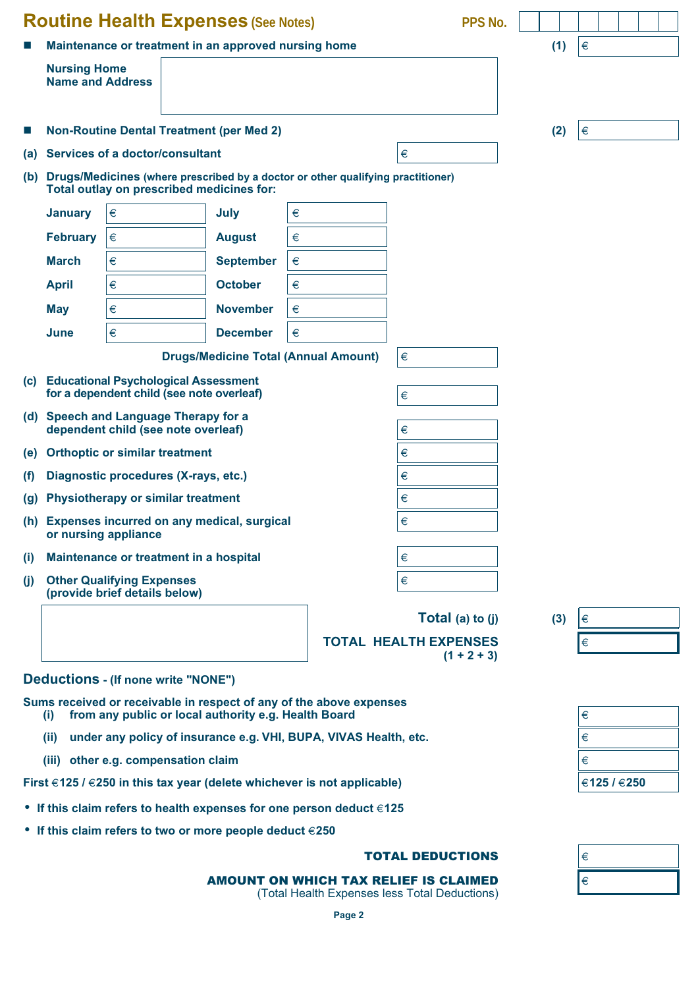| <b>Routine Health Expenses (See Notes)</b><br>PPS No.                                                                              |                                                                                                                              |                                                                   |                                             |       |                              |   |                  |     |             |  |  |
|------------------------------------------------------------------------------------------------------------------------------------|------------------------------------------------------------------------------------------------------------------------------|-------------------------------------------------------------------|---------------------------------------------|-------|------------------------------|---|------------------|-----|-------------|--|--|
|                                                                                                                                    | Maintenance or treatment in an approved nursing home                                                                         |                                                                   |                                             |       |                              |   |                  | (1) | $\in$       |  |  |
|                                                                                                                                    | <b>Nursing Home</b><br><b>Name and Address</b>                                                                               |                                                                   |                                             |       |                              |   |                  |     |             |  |  |
|                                                                                                                                    |                                                                                                                              | <b>Non-Routine Dental Treatment (per Med 2)</b>                   |                                             |       |                              |   |                  | (2) | €           |  |  |
| (a)                                                                                                                                |                                                                                                                              | <b>Services of a doctor/consultant</b>                            |                                             |       |                              | € |                  |     |             |  |  |
| (b)                                                                                                                                | Drugs/Medicines (where prescribed by a doctor or other qualifying practitioner)<br>Total outlay on prescribed medicines for: |                                                                   |                                             |       |                              |   |                  |     |             |  |  |
|                                                                                                                                    | <b>January</b>                                                                                                               | €                                                                 | July                                        | €     |                              |   |                  |     |             |  |  |
|                                                                                                                                    | <b>February</b>                                                                                                              | €                                                                 | <b>August</b>                               | €     |                              |   |                  |     |             |  |  |
|                                                                                                                                    | <b>March</b>                                                                                                                 | €                                                                 | <b>September</b>                            | $\in$ |                              |   |                  |     |             |  |  |
|                                                                                                                                    | <b>April</b>                                                                                                                 | €                                                                 | <b>October</b>                              | €     |                              |   |                  |     |             |  |  |
|                                                                                                                                    | <b>May</b>                                                                                                                   | €                                                                 | <b>November</b>                             | €     |                              |   |                  |     |             |  |  |
|                                                                                                                                    | June                                                                                                                         | €                                                                 | <b>December</b>                             | €     |                              |   |                  |     |             |  |  |
|                                                                                                                                    |                                                                                                                              |                                                                   | <b>Drugs/Medicine Total (Annual Amount)</b> |       |                              | € |                  |     |             |  |  |
| (c) Educational Psychological Assessment<br>for a dependent child (see note overleaf)<br>€                                         |                                                                                                                              |                                                                   |                                             |       |                              |   |                  |     |             |  |  |
| (d) Speech and Language Therapy for a<br>dependent child (see note overleaf)<br>€                                                  |                                                                                                                              |                                                                   |                                             |       |                              |   |                  |     |             |  |  |
| (e)                                                                                                                                | <b>Orthoptic or similar treatment</b><br>€                                                                                   |                                                                   |                                             |       |                              |   |                  |     |             |  |  |
| (f)                                                                                                                                | Diagnostic procedures (X-rays, etc.)<br>€                                                                                    |                                                                   |                                             |       |                              |   |                  |     |             |  |  |
| (g)                                                                                                                                | <b>Physiotherapy or similar treatment</b><br>€                                                                               |                                                                   |                                             |       |                              |   |                  |     |             |  |  |
|                                                                                                                                    | (h) Expenses incurred on any medical, surgical<br>€<br>or nursing appliance                                                  |                                                                   |                                             |       |                              |   |                  |     |             |  |  |
| Maintenance or treatment in a hospital<br>€<br>(i)                                                                                 |                                                                                                                              |                                                                   |                                             |       |                              |   |                  |     |             |  |  |
| (i)                                                                                                                                |                                                                                                                              | <b>Other Qualifying Expenses</b><br>(provide brief details below) |                                             |       |                              | € |                  |     |             |  |  |
|                                                                                                                                    |                                                                                                                              |                                                                   |                                             |       |                              |   | Total (a) to (j) | (3) | I€          |  |  |
|                                                                                                                                    |                                                                                                                              |                                                                   |                                             |       | <b>TOTAL HEALTH EXPENSES</b> |   | $(1 + 2 + 3)$    |     | $\in$       |  |  |
| Deductions - (If none write "NONE")                                                                                                |                                                                                                                              |                                                                   |                                             |       |                              |   |                  |     |             |  |  |
| Sums received or receivable in respect of any of the above expenses<br>from any public or local authority e.g. Health Board<br>(i) |                                                                                                                              |                                                                   |                                             |       |                              |   |                  |     | €           |  |  |
|                                                                                                                                    | under any policy of insurance e.g. VHI, BUPA, VIVAS Health, etc.<br>(ii)                                                     |                                                                   |                                             |       |                              |   |                  |     | €           |  |  |
| (iii) other e.g. compensation claim                                                                                                |                                                                                                                              |                                                                   |                                             |       |                              |   |                  |     | €           |  |  |
| First $\in$ 125 / $\in$ 250 in this tax year (delete whichever is not applicable)                                                  |                                                                                                                              |                                                                   |                                             |       |                              |   |                  |     | €125 / €250 |  |  |
| • If this claim refers to health expenses for one person deduct $\epsilon$ 125                                                     |                                                                                                                              |                                                                   |                                             |       |                              |   |                  |     |             |  |  |

• **If this claim refers to two or more people deduct £250**

# **TOTAL DEDUCTIONS**

#### AMOUNT ON WHICH TAX RELIEF IS CLAIMED  $\epsilon$

(Total Health Expenses less Total Deductions)

**Page 2**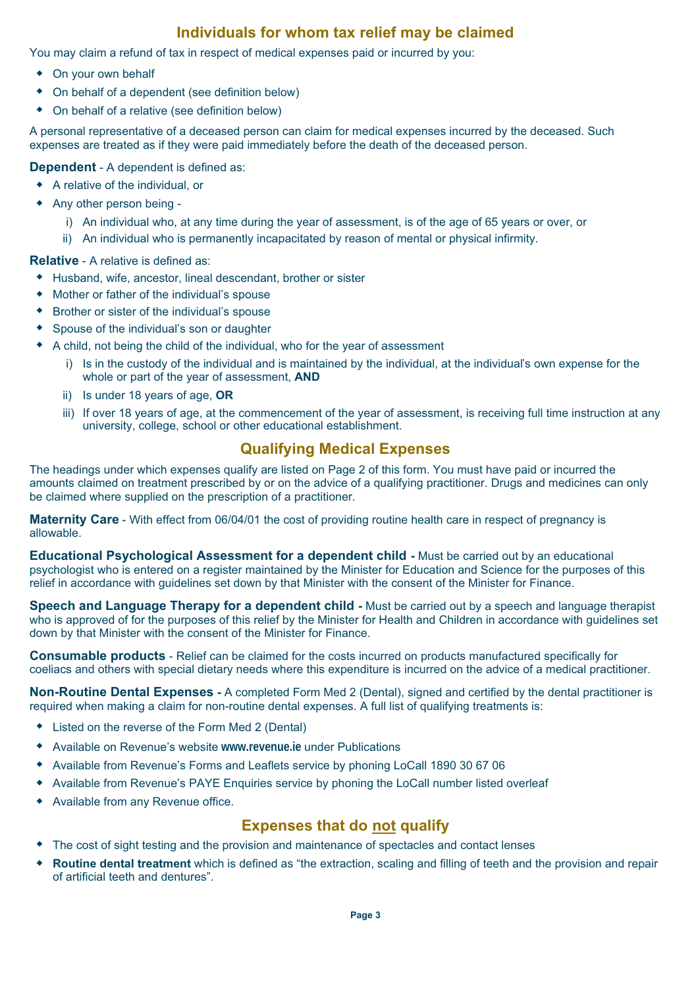# **Individuals for whom tax relief may be claimed**

You may claim a refund of tax in respect of medical expenses paid or incurred by you:

- On your own behalf
- On behalf of a dependent (see definition below)
- On behalf of a relative (see definition below)

A personal representative of a deceased person can claim for medical expenses incurred by the deceased. Such expenses are treated as if they were paid immediately before the death of the deceased person.

**Dependent** - A dependent is defined as:

- A relative of the individual, or
- Any other person being
	- i) An individual who, at any time during the year of assessment, is of the age of 65 years or over, or
	- ii) An individual who is permanently incapacitated by reason of mental or physical infirmity.

**Relative** - A relative is defined as:

- Husband, wife, ancestor, lineal descendant, brother or sister
- Mother or father of the individual's spouse
- Brother or sister of the individual's spouse
- Spouse of the individual's son or daughter
- A child, not being the child of the individual, who for the year of assessment
	- i) Is in the custody of the individual and is maintained by the individual, at the individual's own expense for the whole or part of the year of assessment, **AND**
	- ii) Is under 18 years of age, **OR**
	- iii) If over 18 years of age, at the commencement of the year of assessment, is receiving full time instruction at any university, college, school or other educational establishment.

# **Qualifying Medical Expenses**

The headings under which expenses qualify are listed on Page 2 of this form. You must have paid or incurred the amounts claimed on treatment prescribed by or on the advice of a qualifying practitioner. Drugs and medicines can only be claimed where supplied on the prescription of a practitioner.

**Maternity Care** - With effect from 06/04/01 the cost of providing routine health care in respect of pregnancy is allowable.

**Educational Psychological Assessment for a dependent child -** Must be carried out by an educational psychologist who is entered on a register maintained by the Minister for Education and Science for the purposes of this relief in accordance with guidelines set down by that Minister with the consent of the Minister for Finance.

**Speech and Language Therapy for a dependent child -** Must be carried out by a speech and language therapist who is approved of for the purposes of this relief by the Minister for Health and Children in accordance with guidelines set down by that Minister with the consent of the Minister for Finance.

**Consumable products** - Relief can be claimed for the costs incurred on products manufactured specifically for coeliacs and others with special dietary needs where this expenditure is incurred on the advice of a medical practitioner.

**Non-Routine Dental Expenses -** A completed Form Med 2 (Dental), signed and certified by the dental practitioner is required when making a claim for non-routine dental expenses. A full list of qualifying treatments is:

- Listed on the reverse of the Form Med 2 (Dental)
- Available on Revenue's website **www.revenue.ie** under Publications
- Available from Revenue's Forms and Leaflets service by phoning LoCall 1890 30 67 06
- Available from Revenue's PAYE Enquiries service by phoning the LoCall number listed overleaf
- Available from any Revenue office.

# **Expenses that do not qualify**

- The cost of sight testing and the provision and maintenance of spectacles and contact lenses
- **Routine dental treatment** which is defined as "the extraction, scaling and filling of teeth and the provision and repair of artificial teeth and dentures".